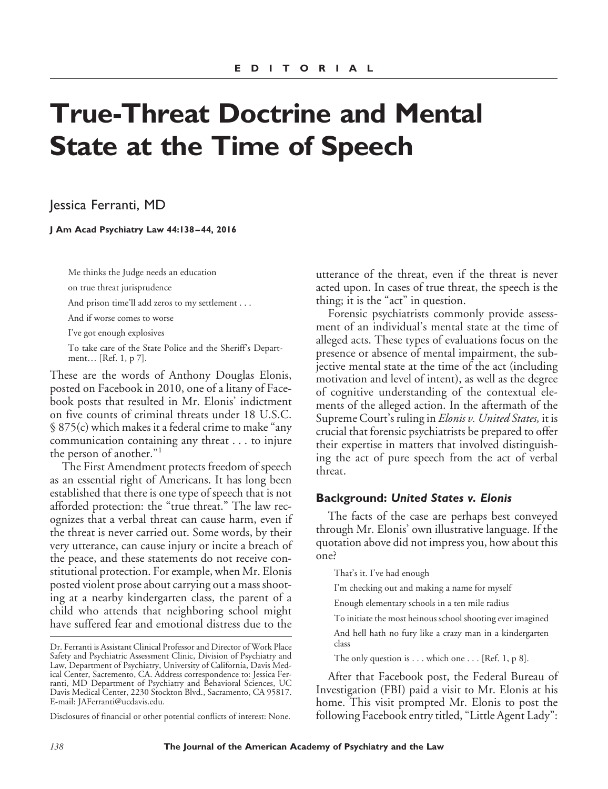# **True-Threat Doctrine and Mental State at the Time of Speech**

Jessica Ferranti, MD

**J Am Acad Psychiatry Law 44:138 – 44, 2016**

Me thinks the Judge needs an education

on true threat jurisprudence

And prison time'll add zeros to my settlement...

And if worse comes to worse

I've got enough explosives

To take care of the State Police and the Sheriff's Department… [Ref. 1, p 7].

These are the words of Anthony Douglas Elonis, posted on Facebook in 2010, one of a litany of Facebook posts that resulted in Mr. Elonis' indictment on five counts of criminal threats under 18 U.S.C. § 875(c) which makes it a federal crime to make "any communication containing any threat . . . to injure the person of another."<sup>1</sup>

The First Amendment protects freedom of speech as an essential right of Americans. It has long been established that there is one type of speech that is not afforded protection: the "true threat." The law recognizes that a verbal threat can cause harm, even if the threat is never carried out. Some words, by their very utterance, can cause injury or incite a breach of the peace, and these statements do not receive constitutional protection. For example, when Mr. Elonis posted violent prose about carrying out a mass shooting at a nearby kindergarten class, the parent of a child who attends that neighboring school might have suffered fear and emotional distress due to the

Disclosures of financial or other potential conflicts of interest: None.

utterance of the threat, even if the threat is never acted upon. In cases of true threat, the speech is the thing; it is the "act" in question.

Forensic psychiatrists commonly provide assessment of an individual's mental state at the time of alleged acts. These types of evaluations focus on the presence or absence of mental impairment, the subjective mental state at the time of the act (including motivation and level of intent), as well as the degree of cognitive understanding of the contextual elements of the alleged action. In the aftermath of the Supreme Court's ruling in *Elonis v. United States,* it is crucial that forensic psychiatrists be prepared to offer their expertise in matters that involved distinguishing the act of pure speech from the act of verbal threat.

#### **Background:** *United States v. Elonis*

The facts of the case are perhaps best conveyed through Mr. Elonis' own illustrative language. If the quotation above did not impress you, how about this one?

That's it. I've had enough

I'm checking out and making a name for myself

Enough elementary schools in a ten mile radius

To initiate the most heinous school shooting ever imagined

And hell hath no fury like a crazy man in a kindergarten class

The only question is  $\dots$  which one  $\dots$  [Ref. 1, p 8].

After that Facebook post, the Federal Bureau of Investigation (FBI) paid a visit to Mr. Elonis at his home. This visit prompted Mr. Elonis to post the following Facebook entry titled, "Little Agent Lady":

Dr. Ferranti is Assistant Clinical Professor and Director of Work Place Safety and Psychiatric Assessment Clinic, Division of Psychiatry and Law, Department of Psychiatry, University of California, Davis Medical Center, Sacremento, CA. Address correspondence to: Jessica Ferranti, MD Department of Psychiatry and Behavioral Sciences, UC Davis Medical Center, 2230 Stockton Blvd., Sacramento, CA 95817. E-mail: JAFerranti@ucdavis.edu.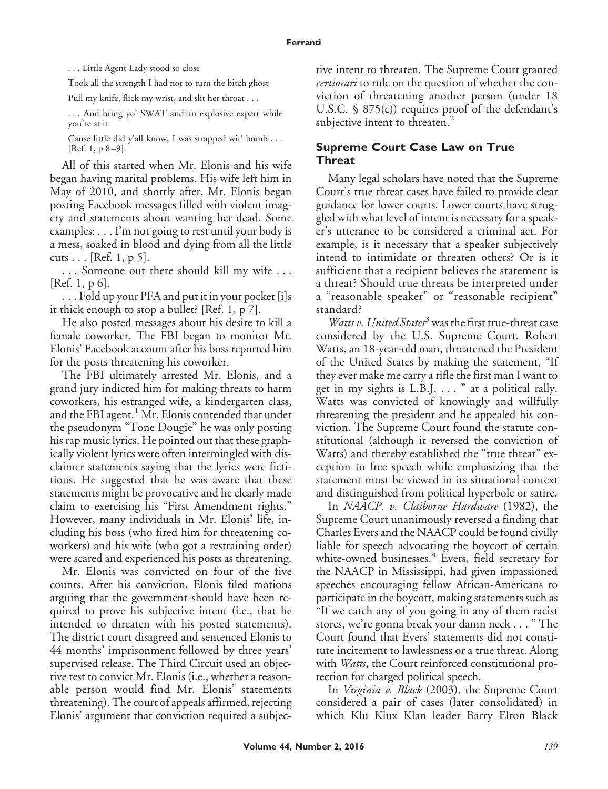. . . Little Agent Lady stood so close

Took all the strength I had not to turn the bitch ghost

Pull my knife, flick my wrist, and slit her throat . . .

. . . And bring yo' SWAT and an explosive expert while you're at it

Cause little did y'all know, I was strapped wit' bomb . . . [Ref. 1,  $p 8-9$ ].

All of this started when Mr. Elonis and his wife began having marital problems. His wife left him in May of 2010, and shortly after, Mr. Elonis began posting Facebook messages filled with violent imagery and statements about wanting her dead. Some examples: . . . I'm not going to rest until your body is a mess, soaked in blood and dying from all the little cuts . . . [Ref. 1, p 5].

. . . Someone out there should kill my wife . . . [Ref. 1, p 6].

. . . Fold up your PFA and put it in your pocket [i]s it thick enough to stop a bullet? [Ref. 1, p 7].

He also posted messages about his desire to kill a female coworker. The FBI began to monitor Mr. Elonis' Facebook account after his boss reported him for the posts threatening his coworker.

The FBI ultimately arrested Mr. Elonis, and a grand jury indicted him for making threats to harm coworkers, his estranged wife, a kindergarten class, and the FBI agent.<sup>1</sup> Mr. Elonis contended that under the pseudonym "Tone Dougie" he was only posting his rap music lyrics. He pointed out that these graphically violent lyrics were often intermingled with disclaimer statements saying that the lyrics were fictitious. He suggested that he was aware that these statements might be provocative and he clearly made claim to exercising his "First Amendment rights." However, many individuals in Mr. Elonis' life, including his boss (who fired him for threatening coworkers) and his wife (who got a restraining order) were scared and experienced his posts as threatening.

Mr. Elonis was convicted on four of the five counts. After his conviction, Elonis filed motions arguing that the government should have been required to prove his subjective intent (i.e., that he intended to threaten with his posted statements). The district court disagreed and sentenced Elonis to 44 months' imprisonment followed by three years' supervised release. The Third Circuit used an objective test to convict Mr. Elonis (i.e., whether a reasonable person would find Mr. Elonis' statements threatening). The court of appeals affirmed, rejecting Elonis' argument that conviction required a subjective intent to threaten. The Supreme Court granted *certiorari* to rule on the question of whether the conviction of threatening another person (under 18 U.S.C. § 875(c)) requires proof of the defendant's subjective intent to threaten.<sup>2</sup>

## **Supreme Court Case Law on True Threat**

Many legal scholars have noted that the Supreme Court's true threat cases have failed to provide clear guidance for lower courts. Lower courts have struggled with what level of intent is necessary for a speaker's utterance to be considered a criminal act. For example, is it necessary that a speaker subjectively intend to intimidate or threaten others? Or is it sufficient that a recipient believes the statement is a threat? Should true threats be interpreted under a "reasonable speaker" or "reasonable recipient" standard?

*Watts v. United States*<sup>3</sup> was the first true-threat case considered by the U.S. Supreme Court. Robert Watts, an 18-year-old man, threatened the President of the United States by making the statement, "If they ever make me carry a rifle the first man I want to get in my sights is L.B.J. . . . " at a political rally. Watts was convicted of knowingly and willfully threatening the president and he appealed his conviction. The Supreme Court found the statute constitutional (although it reversed the conviction of Watts) and thereby established the "true threat" exception to free speech while emphasizing that the statement must be viewed in its situational context and distinguished from political hyperbole or satire.

In *NAACP. v. Claiborne Hardware* (1982), the Supreme Court unanimously reversed a finding that Charles Evers and the NAACP could be found civilly liable for speech advocating the boycott of certain white-owned businesses.<sup>4</sup> Evers, field secretary for the NAACP in Mississippi, had given impassioned speeches encouraging fellow African-Americans to participate in the boycott, making statements such as "If we catch any of you going in any of them racist stores, we're gonna break your damn neck . . . " The Court found that Evers' statements did not constitute incitement to lawlessness or a true threat. Along with *Watts*, the Court reinforced constitutional protection for charged political speech.

In *Virginia v. Black* (2003), the Supreme Court considered a pair of cases (later consolidated) in which Klu Klux Klan leader Barry Elton Black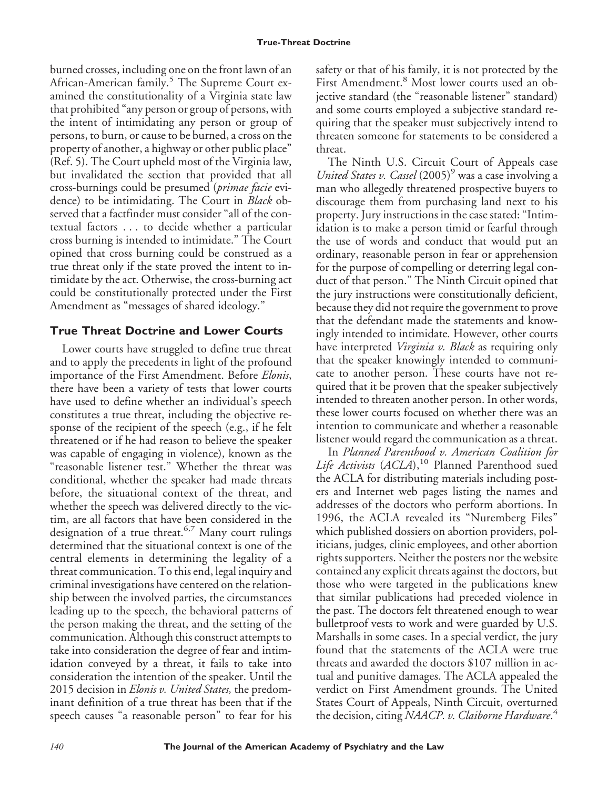burned crosses, including one on the front lawn of an African-American family.<sup>5</sup> The Supreme Court examined the constitutionality of a Virginia state law that prohibited "any person or group of persons, with the intent of intimidating any person or group of persons, to burn, or cause to be burned, a cross on the property of another, a highway or other public place" (Ref. 5). The Court upheld most of the Virginia law, but invalidated the section that provided that all cross-burnings could be presumed (*primae facie* evidence) to be intimidating. The Court in *Black* observed that a factfinder must consider "all of the contextual factors . . . to decide whether a particular cross burning is intended to intimidate." The Court opined that cross burning could be construed as a true threat only if the state proved the intent to intimidate by the act. Otherwise, the cross-burning act could be constitutionally protected under the First Amendment as "messages of shared ideology."

# **True Threat Doctrine and Lower Courts**

Lower courts have struggled to define true threat and to apply the precedents in light of the profound importance of the First Amendment. Before *Elonis*, there have been a variety of tests that lower courts have used to define whether an individual's speech constitutes a true threat, including the objective response of the recipient of the speech (e.g., if he felt threatened or if he had reason to believe the speaker was capable of engaging in violence), known as the "reasonable listener test." Whether the threat was conditional, whether the speaker had made threats before, the situational context of the threat, and whether the speech was delivered directly to the victim, are all factors that have been considered in the designation of a true threat.<sup>6,7</sup> Many court rulings determined that the situational context is one of the central elements in determining the legality of a threat communication. To this end, legal inquiry and criminal investigations have centered on the relationship between the involved parties, the circumstances leading up to the speech, the behavioral patterns of the person making the threat, and the setting of the communication. Although this construct attempts to take into consideration the degree of fear and intimidation conveyed by a threat, it fails to take into consideration the intention of the speaker. Until the 2015 decision in *Elonis v. United States,* the predominant definition of a true threat has been that if the speech causes "a reasonable person" to fear for his

safety or that of his family, it is not protected by the First Amendment.<sup>8</sup> Most lower courts used an objective standard (the "reasonable listener" standard) and some courts employed a subjective standard requiring that the speaker must subjectively intend to threaten someone for statements to be considered a threat.

The Ninth U.S. Circuit Court of Appeals case *United States v. Cassel* (2005)<sup>9</sup> was a case involving a man who allegedly threatened prospective buyers to discourage them from purchasing land next to his property. Jury instructions in the case stated: "Intimidation is to make a person timid or fearful through the use of words and conduct that would put an ordinary, reasonable person in fear or apprehension for the purpose of compelling or deterring legal conduct of that person." The Ninth Circuit opined that the jury instructions were constitutionally deficient, because they did not require the government to prove that the defendant made the statements and knowingly intended to intimidate*.* However, other courts have interpreted *Virginia v. Black* as requiring only that the speaker knowingly intended to communicate to another person. These courts have not required that it be proven that the speaker subjectively intended to threaten another person. In other words, these lower courts focused on whether there was an intention to communicate and whether a reasonable listener would regard the communication as a threat.

In *Planned Parenthood v. American Coalition for* Life Activists (ACLA),<sup>10</sup> Planned Parenthood sued the ACLA for distributing materials including posters and Internet web pages listing the names and addresses of the doctors who perform abortions. In 1996, the ACLA revealed its "Nuremberg Files" which published dossiers on abortion providers, politicians, judges, clinic employees, and other abortion rights supporters. Neither the posters nor the website contained any explicit threats against the doctors, but those who were targeted in the publications knew that similar publications had preceded violence in the past. The doctors felt threatened enough to wear bulletproof vests to work and were guarded by U.S. Marshalls in some cases. In a special verdict, the jury found that the statements of the ACLA were true threats and awarded the doctors \$107 million in actual and punitive damages. The ACLA appealed the verdict on First Amendment grounds. The United States Court of Appeals, Ninth Circuit, overturned the decision, citing *NAACP. v. Claiborne Hardware*. 4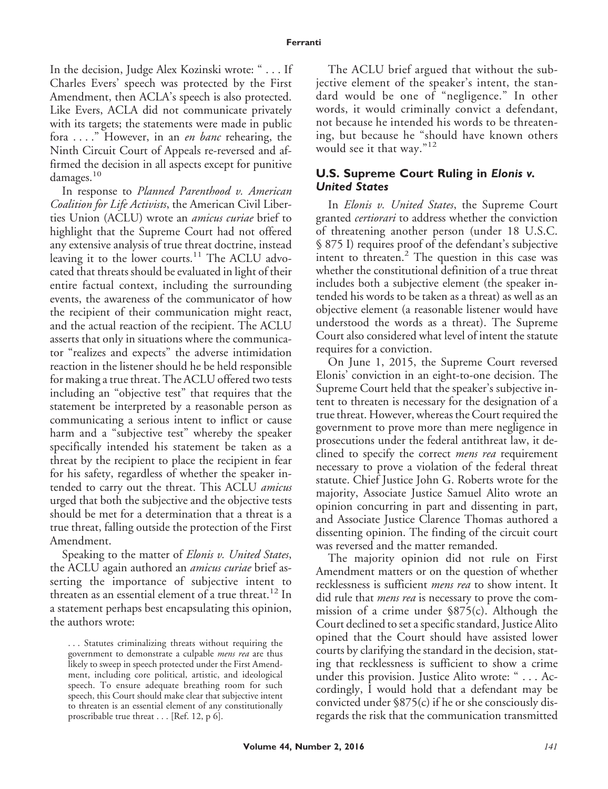In the decision, Judge Alex Kozinski wrote: " . . . If Charles Evers' speech was protected by the First Amendment, then ACLA's speech is also protected. Like Evers, ACLA did not communicate privately with its targets; the statements were made in public fora . . . ." However, in an *en banc* rehearing, the Ninth Circuit Court of Appeals re-reversed and affirmed the decision in all aspects except for punitive damages.<sup>10</sup>

In response to *Planned Parenthood v. American Coalition for Life Activists*, the American Civil Liberties Union (ACLU) wrote an *amicus curiae* brief to highlight that the Supreme Court had not offered any extensive analysis of true threat doctrine, instead leaving it to the lower courts.<sup>11</sup> The ACLU advocated that threats should be evaluated in light of their entire factual context, including the surrounding events, the awareness of the communicator of how the recipient of their communication might react, and the actual reaction of the recipient. The ACLU asserts that only in situations where the communicator "realizes and expects" the adverse intimidation reaction in the listener should he be held responsible for making a true threat. The ACLU offered two tests including an "objective test" that requires that the statement be interpreted by a reasonable person as communicating a serious intent to inflict or cause harm and a "subjective test" whereby the speaker specifically intended his statement be taken as a threat by the recipient to place the recipient in fear for his safety, regardless of whether the speaker intended to carry out the threat. This ACLU *amicus* urged that both the subjective and the objective tests should be met for a determination that a threat is a true threat, falling outside the protection of the First Amendment.

Speaking to the matter of *Elonis v. United States*, the ACLU again authored an *amicus curiae* brief asserting the importance of subjective intent to threaten as an essential element of a true threat.<sup>12</sup> In a statement perhaps best encapsulating this opinion, the authors wrote:

. . . Statutes criminalizing threats without requiring the government to demonstrate a culpable *mens rea* are thus likely to sweep in speech protected under the First Amendment, including core political, artistic, and ideological speech. To ensure adequate breathing room for such speech, this Court should make clear that subjective intent to threaten is an essential element of any constitutionally proscribable true threat... [Ref. 12, p 6].

The ACLU brief argued that without the subjective element of the speaker's intent, the standard would be one of "negligence." In other words, it would criminally convict a defendant, not because he intended his words to be threatening, but because he "should have known others would see it that way."<sup>12</sup>

### **U.S. Supreme Court Ruling in** *Elonis v. United States*

In *Elonis v. United States*, the Supreme Court granted *certiorari* to address whether the conviction of threatening another person (under 18 U.S.C. § 875 I) requires proof of the defendant's subjective intent to threaten.<sup>2</sup> The question in this case was whether the constitutional definition of a true threat includes both a subjective element (the speaker intended his words to be taken as a threat) as well as an objective element (a reasonable listener would have understood the words as a threat). The Supreme Court also considered what level of intent the statute requires for a conviction.

On June 1, 2015, the Supreme Court reversed Elonis' conviction in an eight-to-one decision. The Supreme Court held that the speaker's subjective intent to threaten is necessary for the designation of a true threat. However, whereas the Court required the government to prove more than mere negligence in prosecutions under the federal antithreat law, it declined to specify the correct *mens rea* requirement necessary to prove a violation of the federal threat statute. Chief Justice John G. Roberts wrote for the majority, Associate Justice Samuel Alito wrote an opinion concurring in part and dissenting in part, and Associate Justice Clarence Thomas authored a dissenting opinion. The finding of the circuit court was reversed and the matter remanded.

The majority opinion did not rule on First Amendment matters or on the question of whether recklessness is sufficient *mens rea* to show intent. It did rule that *mens rea* is necessary to prove the commission of a crime under §875(c). Although the Court declined to set a specific standard, Justice Alito opined that the Court should have assisted lower courts by clarifying the standard in the decision, stating that recklessness is sufficient to show a crime under this provision. Justice Alito wrote: " . . . Accordingly, I would hold that a defendant may be convicted under §875(c) if he or she consciously disregards the risk that the communication transmitted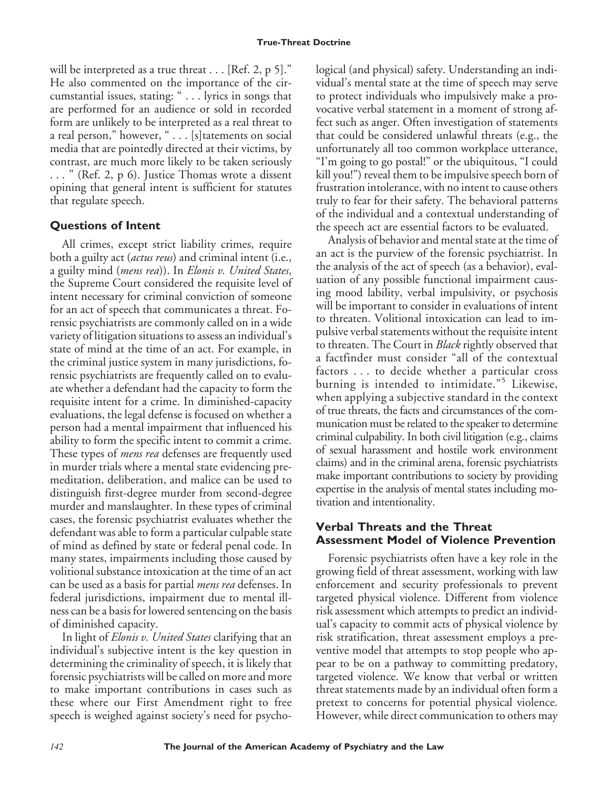will be interpreted as a true threat  $\ldots$  [Ref. 2, p 5]." He also commented on the importance of the circumstantial issues, stating: " . . . lyrics in songs that are performed for an audience or sold in recorded form are unlikely to be interpreted as a real threat to a real person," however, " . . . [s] tatements on social media that are pointedly directed at their victims, by contrast, are much more likely to be taken seriously . . . " (Ref. 2, p 6). Justice Thomas wrote a dissent opining that general intent is sufficient for statutes that regulate speech.

## **Questions of Intent**

All crimes, except strict liability crimes, require both a guilty act (*actus reus*) and criminal intent (i.e., a guilty mind (*mens rea*)). In *Elonis v. United States*, the Supreme Court considered the requisite level of intent necessary for criminal conviction of someone for an act of speech that communicates a threat. Forensic psychiatrists are commonly called on in a wide variety of litigation situations to assess an individual's state of mind at the time of an act. For example, in the criminal justice system in many jurisdictions, forensic psychiatrists are frequently called on to evaluate whether a defendant had the capacity to form the requisite intent for a crime. In diminished-capacity evaluations, the legal defense is focused on whether a person had a mental impairment that influenced his ability to form the specific intent to commit a crime. These types of *mens rea* defenses are frequently used in murder trials where a mental state evidencing premeditation, deliberation, and malice can be used to distinguish first-degree murder from second-degree murder and manslaughter. In these types of criminal cases, the forensic psychiatrist evaluates whether the defendant was able to form a particular culpable state of mind as defined by state or federal penal code. In many states, impairments including those caused by volitional substance intoxication at the time of an act can be used as a basis for partial *mens rea* defenses. In federal jurisdictions, impairment due to mental illness can be a basis for lowered sentencing on the basis of diminished capacity.

In light of *Elonis v. United States* clarifying that an individual's subjective intent is the key question in determining the criminality of speech, it is likely that forensic psychiatrists will be called on more and more to make important contributions in cases such as these where our First Amendment right to free speech is weighed against society's need for psychological (and physical) safety. Understanding an individual's mental state at the time of speech may serve to protect individuals who impulsively make a provocative verbal statement in a moment of strong affect such as anger. Often investigation of statements that could be considered unlawful threats (e.g., the unfortunately all too common workplace utterance, "I'm going to go postal!" or the ubiquitous, "I could kill you!") reveal them to be impulsive speech born of frustration intolerance, with no intent to cause others truly to fear for their safety. The behavioral patterns of the individual and a contextual understanding of the speech act are essential factors to be evaluated.

Analysis of behavior and mental state at the time of an act is the purview of the forensic psychiatrist. In the analysis of the act of speech (as a behavior), evaluation of any possible functional impairment causing mood lability, verbal impulsivity, or psychosis will be important to consider in evaluations of intent to threaten. Volitional intoxication can lead to impulsive verbal statements without the requisite intent to threaten. The Court in *Black* rightly observed that a factfinder must consider "all of the contextual factors . . . to decide whether a particular cross burning is intended to intimidate."<sup>5</sup> Likewise, when applying a subjective standard in the context of true threats, the facts and circumstances of the communication must be related to the speaker to determine criminal culpability. In both civil litigation (e.g., claims of sexual harassment and hostile work environment claims) and in the criminal arena, forensic psychiatrists make important contributions to society by providing expertise in the analysis of mental states including motivation and intentionality.

## **Verbal Threats and the Threat Assessment Model of Violence Prevention**

Forensic psychiatrists often have a key role in the growing field of threat assessment, working with law enforcement and security professionals to prevent targeted physical violence. Different from violence risk assessment which attempts to predict an individual's capacity to commit acts of physical violence by risk stratification, threat assessment employs a preventive model that attempts to stop people who appear to be on a pathway to committing predatory, targeted violence. We know that verbal or written threat statements made by an individual often form a pretext to concerns for potential physical violence. However, while direct communication to others may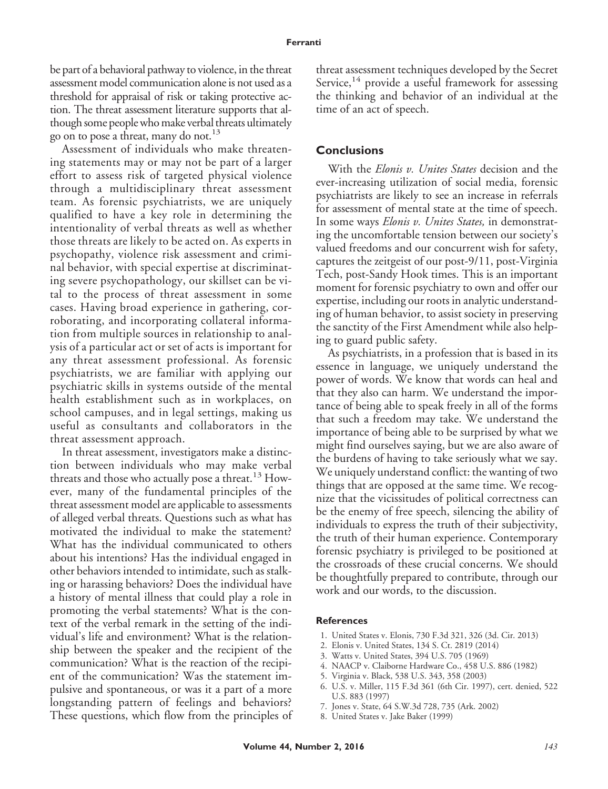be part of a behavioral pathway to violence, in the threat assessment model communication alone is not used as a threshold for appraisal of risk or taking protective action. The threat assessment literature supports that although some peoplewhomake verbal threats ultimately go on to pose a threat, many do not.<sup>13</sup>

Assessment of individuals who make threatening statements may or may not be part of a larger effort to assess risk of targeted physical violence through a multidisciplinary threat assessment team. As forensic psychiatrists, we are uniquely qualified to have a key role in determining the intentionality of verbal threats as well as whether those threats are likely to be acted on. As experts in psychopathy, violence risk assessment and criminal behavior, with special expertise at discriminating severe psychopathology, our skillset can be vital to the process of threat assessment in some cases. Having broad experience in gathering, corroborating, and incorporating collateral information from multiple sources in relationship to analysis of a particular act or set of acts is important for any threat assessment professional. As forensic psychiatrists, we are familiar with applying our psychiatric skills in systems outside of the mental health establishment such as in workplaces, on school campuses, and in legal settings, making us useful as consultants and collaborators in the threat assessment approach.

In threat assessment, investigators make a distinction between individuals who may make verbal threats and those who actually pose a threat.<sup>13</sup> However, many of the fundamental principles of the threat assessment model are applicable to assessments of alleged verbal threats. Questions such as what has motivated the individual to make the statement? What has the individual communicated to others about his intentions? Has the individual engaged in other behaviors intended to intimidate, such as stalking or harassing behaviors? Does the individual have a history of mental illness that could play a role in promoting the verbal statements? What is the context of the verbal remark in the setting of the individual's life and environment? What is the relationship between the speaker and the recipient of the communication? What is the reaction of the recipient of the communication? Was the statement impulsive and spontaneous, or was it a part of a more longstanding pattern of feelings and behaviors? These questions, which flow from the principles of

threat assessment techniques developed by the Secret Service,<sup>14</sup> provide a useful framework for assessing the thinking and behavior of an individual at the time of an act of speech.

#### **Conclusions**

With the *Elonis v. Unites States* decision and the ever-increasing utilization of social media, forensic psychiatrists are likely to see an increase in referrals for assessment of mental state at the time of speech. In some ways *Elonis v. Unites States,* in demonstrating the uncomfortable tension between our society's valued freedoms and our concurrent wish for safety, captures the zeitgeist of our post-9/11, post-Virginia Tech, post-Sandy Hook times. This is an important moment for forensic psychiatry to own and offer our expertise, including our roots in analytic understanding of human behavior, to assist society in preserving the sanctity of the First Amendment while also helping to guard public safety.

As psychiatrists, in a profession that is based in its essence in language, we uniquely understand the power of words. We know that words can heal and that they also can harm. We understand the importance of being able to speak freely in all of the forms that such a freedom may take. We understand the importance of being able to be surprised by what we might find ourselves saying, but we are also aware of the burdens of having to take seriously what we say. We uniquely understand conflict: the wanting of two things that are opposed at the same time. We recognize that the vicissitudes of political correctness can be the enemy of free speech, silencing the ability of individuals to express the truth of their subjectivity, the truth of their human experience. Contemporary forensic psychiatry is privileged to be positioned at the crossroads of these crucial concerns. We should be thoughtfully prepared to contribute, through our work and our words, to the discussion.

#### **References**

- 1. United States v. Elonis, 730 F.3d 321, 326 (3d. Cir. 2013)
- 2. Elonis v. United States, 134 S. Ct. 2819 (2014)
- 3. Watts v. United States, 394 U.S. 705 (1969)
- 4. NAACP v. Claiborne Hardware Co., 458 U.S. 886 (1982)
- 5. Virginia v. Black, 538 U.S. 343, 358 (2003)
- 6. U.S. v. Miller, 115 F.3d 361 (6th Cir. 1997), cert. denied, 522 U.S. 883 (1997)
- 7. Jones v. State, 64 S.W.3d 728, 735 (Ark. 2002)
- 8. United States v. Jake Baker (1999)